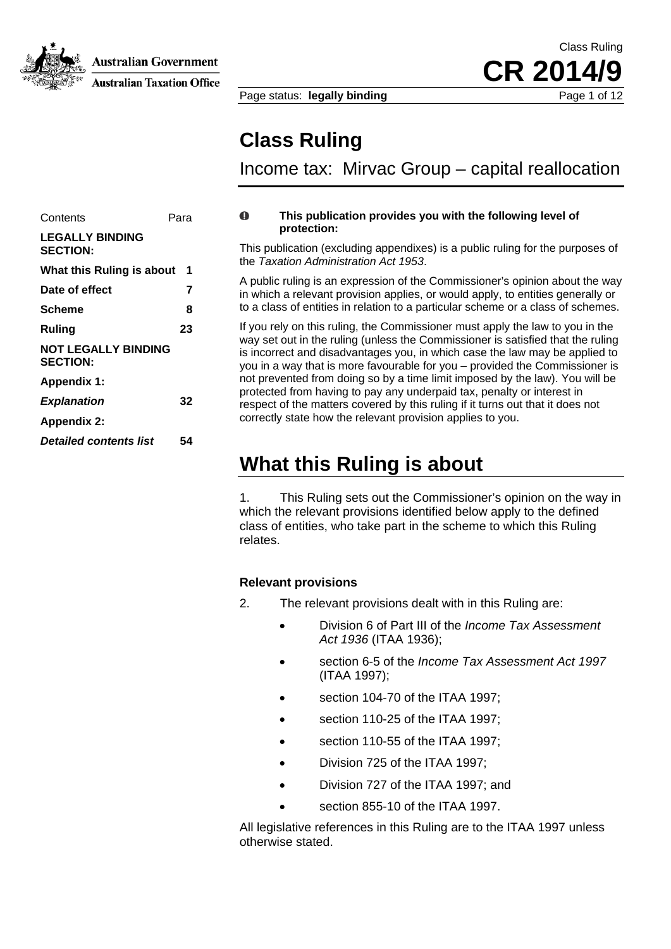

**Australian Taxation Office** 

 Class Ruling CR 2014

Page status: **legally binding** Page 1 of 12

**Class Ruling** 

Income tax: Mirvac Group – capital reallocation

#### $\bf{0}$ **This publication provides you with the following level of protection:**

This publication (excluding appendixes) is a public ruling for the purposes of the *Taxation Administration Act 1953*.

A public ruling is an expression of the Commissioner's opinion about the way in which a relevant provision applies, or would apply, to entities generally or f entities in relation to a particular scheme or a class of schemes. **Scheme 8** to a class o

If you rely on this ruling, the Commissioner must apply the law to you in the way set out in the ruling (unless the Commissioner is satisfied that the ruling is incorrect and disadvantages you, in which case the law may be applied to you in a way that is more favourable for you – provided the Commissioner is not prevented from doing so by a time limit imposed by the law). You will be protected from having to pay any underpaid tax, penalty or interest in **Explanation** 32 **32 Explanation 1 Explanation 1 32 Explanation 1 Explanation 1 Explanation 1 Explanation 1 Explanation 1 Explanation 1 Explanation 1 Explanation 1 Explanation** correctly state how the relevant provision applies to you.

## **What this Ruling is about**

1. This Ruling sets out the Commissioner's opinion on the way in which the relevant provisions identified below apply to the defined class of entities, who take part in the scheme to which this Ruling relates.

### **Relevant provisions**

- 2. The relevant provisions dealt with in this Ruling are:
	- Division 6 of Part III of the *Income Tax Assessment Act 1936* (ITAA 1936);
	- section 6-5 of the *Income Tax Assessment Act 1997* (ITAA 1997);
	- section 104-70 of the ITAA 1997:
	- section 110-25 of the ITAA 1997;
	- section 110-55 of the ITAA 1997;
	- Division 725 of the ITAA 1997;
	- Division 727 of the ITAA 1997; and
	- section 855-10 of the ITAA 1997.

All legislative references in this Ruling are to the ITAA 1997 unless otherwise stated.

| Contents                                      | Para |
|-----------------------------------------------|------|
| <b>LEGALLY BINDING</b><br><b>SECTION:</b>     |      |
| What this Ruling is about                     | 1    |
| Date of effect                                | 7    |
| Scheme                                        | 8    |
| Ruling                                        | 23   |
| <b>NOT LEGALLY BINDING</b><br><b>SECTION:</b> |      |
| <b>Appendix 1:</b>                            |      |
| <b>Explanation</b>                            | 32   |
| Appendix 2:                                   |      |
| <b>Detailed contents list</b>                 | 54   |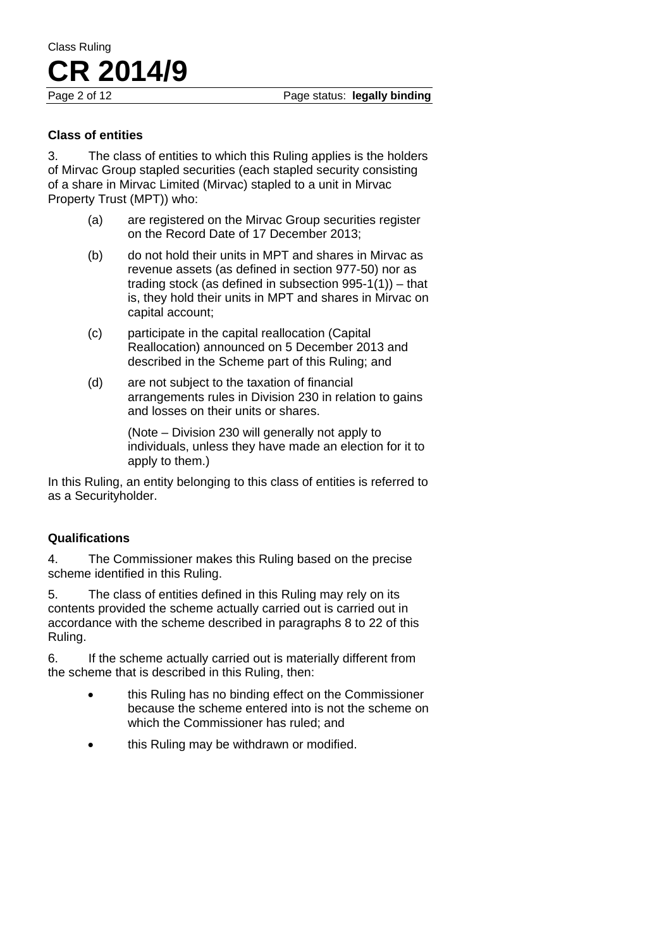#### **Class of entities**

3. The class of entities to which this Ruling applies is the holders of Mirvac Group stapled securities (each stapled security consisting of a share in Mirvac Limited (Mirvac) stapled to a unit in Mirvac Property Trust (MPT)) who:

- (a) are registered on the Mirvac Group securities register on the Record Date of 17 December 2013;
- (b) do not hold their units in MPT and shares in Mirvac as revenue assets (as defined in section 977-50) nor as trading stock (as defined in subsection 995-1(1)) – that is, they hold their units in MPT and shares in Mirvac on capital account;
- (c) participate in the capital reallocation (Capital Reallocation) announced on 5 December 2013 and described in the Scheme part of this Ruling; and
- (d) are not subject to the taxation of financial arrangements rules in Division 230 in relation to gains and losses on their units or shares.

(Note – Division 230 will generally not apply to individuals, unless they have made an election for it to apply to them.)

In this Ruling, an entity belonging to this class of entities is referred to as a Securityholder.

#### **Qualifications**

4. The Commissioner makes this Ruling based on the precise scheme identified in this Ruling.

5. The class of entities defined in this Ruling may rely on its contents provided the scheme actually carried out is carried out in accordance with the scheme described in paragraphs 8 to 22 of this Ruling.

6. If the scheme actually carried out is materially different from the scheme that is described in this Ruling, then:

- this Ruling has no binding effect on the Commissioner because the scheme entered into is not the scheme on which the Commissioner has ruled; and
- this Ruling may be withdrawn or modified.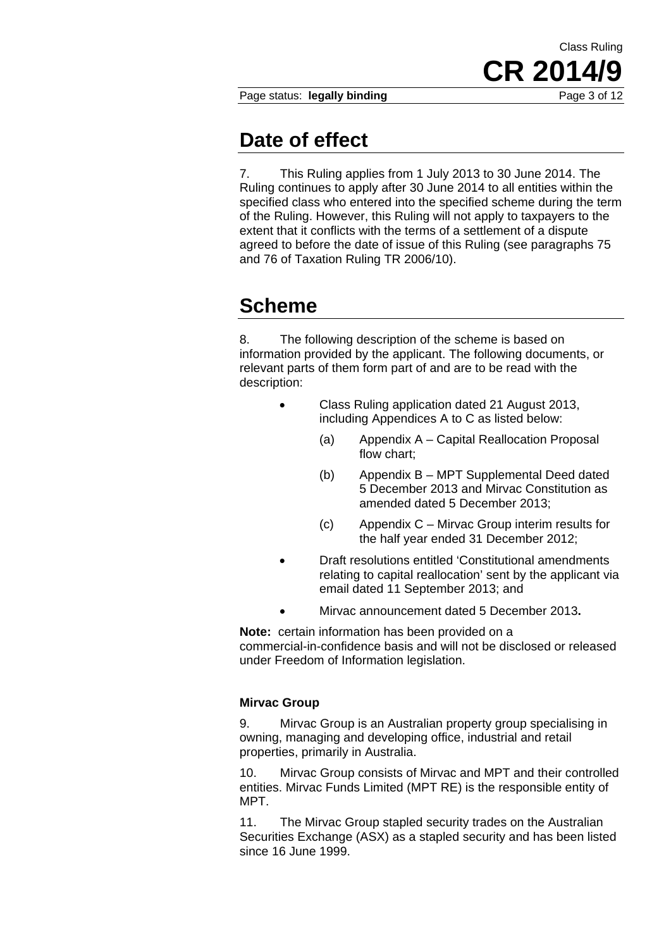Page status: **legally binding** Page 3 of 12

CR 2014

Class Ruling

# **Date of effect**

7. This Ruling applies from 1 July 2013 to 30 June 2014. The Ruling continues to apply after 30 June 2014 to all entities within the specified class who entered into the specified scheme during the term of the Ruling. However, this Ruling will not apply to taxpayers to the extent that it conflicts with the terms of a settlement of a dispute agreed to before the date of issue of this Ruling (see paragraphs 75 and 76 of Taxation Ruling TR 2006/10).

# **Scheme**

8. The following description of the scheme is based on information provided by the applicant. The following documents, or relevant parts of them form part of and are to be read with the description:

- Class Ruling application dated 21 August 2013, including Appendices A to C as listed below:
	- (a) Appendix A Capital Reallocation Proposal flow chart;
	- (b) Appendix B MPT Supplemental Deed dated 5 December 2013 and Mirvac Constitution as amended dated 5 December 2013;
	- (c) Appendix C Mirvac Group interim results for the half year ended 31 December 2012;
- Draft resolutions entitled 'Constitutional amendments relating to capital reallocation' sent by the applicant via email dated 11 September 2013; and
	- Mirvac announcement dated 5 December 2013**.**

**Note:** certain information has been provided on a commercial-in-confidence basis and will not be disclosed or released under Freedom of Information legislation.

## **Mirvac Group**

9. Mirvac Group is an Australian property group specialising in owning, managing and developing office, industrial and retail properties, primarily in Australia.

10. Mirvac Group consists of Mirvac and MPT and their controlled entities. Mirvac Funds Limited (MPT RE) is the responsible entity of MPT.

11. The Mirvac Group stapled security trades on the Australian Securities Exchange (ASX) as a stapled security and has been listed since 16 June 1999.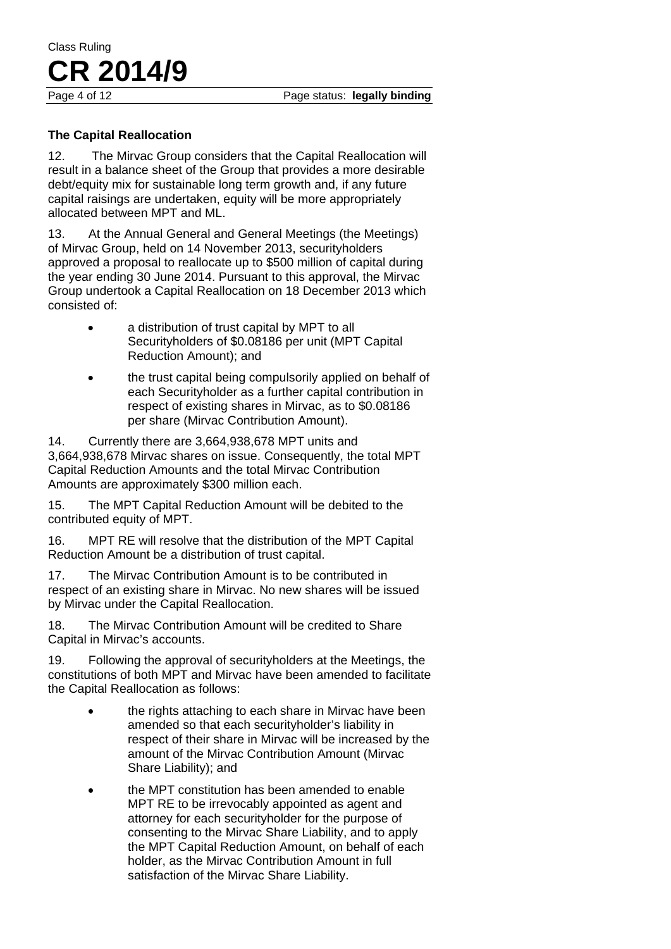Page 4 of 12 Page status: **legally binding** 

# Class Ruling **CR 2014/9**

## **The Capital Reallocation**

12. The Mirvac Group considers that the Capital Reallocation will result in a balance sheet of the Group that provides a more desirable debt/equity mix for sustainable long term growth and, if any future capital raisings are undertaken, equity will be more appropriately allocated between MPT and ML.

13. At the Annual General and General Meetings (the Meetings) of Mirvac Group, held on 14 November 2013, securityholders approved a proposal to reallocate up to \$500 million of capital during the year ending 30 June 2014. Pursuant to this approval, the Mirvac Group undertook a Capital Reallocation on 18 December 2013 which consisted of:

- a distribution of trust capital by MPT to all Securityholders of \$0.08186 per unit (MPT Capital Reduction Amount); and
- the trust capital being compulsorily applied on behalf of each Securityholder as a further capital contribution in respect of existing shares in Mirvac, as to \$0.08186 per share (Mirvac Contribution Amount).

14. Currently there are 3,664,938,678 MPT units and 3,664,938,678 Mirvac shares on issue. Consequently, the total MPT Capital Reduction Amounts and the total Mirvac Contribution Amounts are approximately \$300 million each.

15. The MPT Capital Reduction Amount will be debited to the contributed equity of MPT.

16. MPT RE will resolve that the distribution of the MPT Capital Reduction Amount be a distribution of trust capital.

17. The Mirvac Contribution Amount is to be contributed in respect of an existing share in Mirvac. No new shares will be issued by Mirvac under the Capital Reallocation.

18. The Mirvac Contribution Amount will be credited to Share Capital in Mirvac's accounts.

19. Following the approval of securityholders at the Meetings, the constitutions of both MPT and Mirvac have been amended to facilitate the Capital Reallocation as follows:

- the rights attaching to each share in Mirvac have been amended so that each securityholder's liability in respect of their share in Mirvac will be increased by the amount of the Mirvac Contribution Amount (Mirvac Share Liability); and
- the MPT constitution has been amended to enable MPT RE to be irrevocably appointed as agent and attorney for each securityholder for the purpose of consenting to the Mirvac Share Liability, and to apply the MPT Capital Reduction Amount, on behalf of each holder, as the Mirvac Contribution Amount in full satisfaction of the Mirvac Share Liability.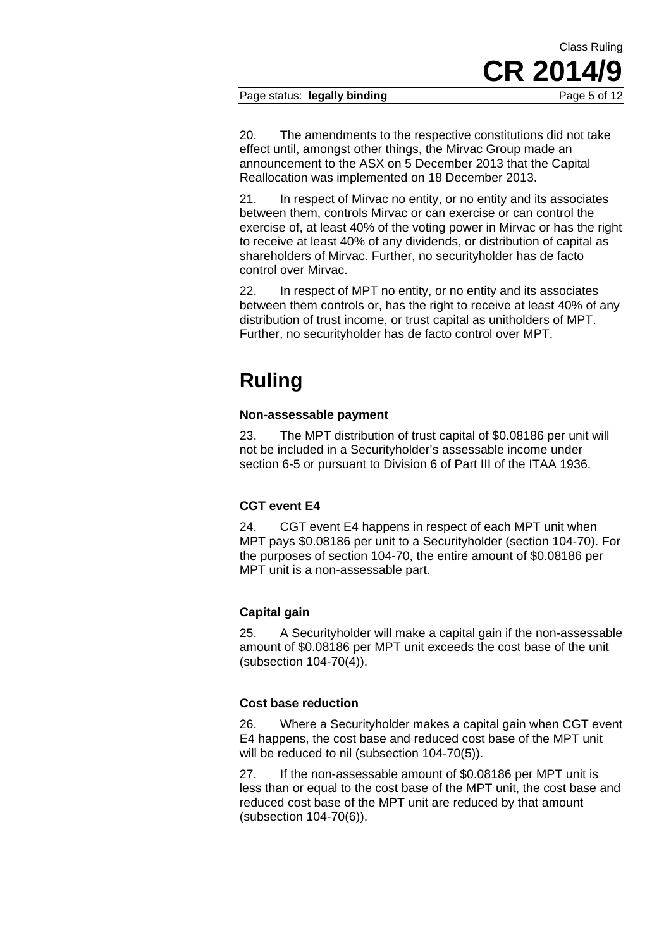#### Page status: **legally binding** Page 5 of 12

20. The amendments to the respective constitutions did not take effect until, amongst other things, the Mirvac Group made an announcement to the ASX on 5 December 2013 that the Capital Reallocation was implemented on 18 December 2013.

21. In respect of Mirvac no entity, or no entity and its associates between them, controls Mirvac or can exercise or can control the exercise of, at least 40% of the voting power in Mirvac or has the right to receive at least 40% of any dividends, or distribution of capital as shareholders of Mirvac. Further, no securityholder has de facto control over Mirvac.

22. In respect of MPT no entity, or no entity and its associates between them controls or, has the right to receive at least 40% of any distribution of trust income, or trust capital as unitholders of MPT. Further, no securityholder has de facto control over MPT.

# **Ruling**

#### **Non-assessable payment**

23. The MPT distribution of trust capital of \$0.08186 per unit will not be included in a Securityholder's assessable income under section 6-5 or pursuant to Division 6 of Part III of the ITAA 1936.

## **CGT event E4**

24. CGT event E4 happens in respect of each MPT unit when MPT pays \$0.08186 per unit to a Securityholder (section 104-70). For the purposes of section 104-70, the entire amount of \$0.08186 per MPT unit is a non-assessable part.

## **Capital gain**

25. A Securityholder will make a capital gain if the non-assessable amount of \$0.08186 per MPT unit exceeds the cost base of the unit (subsection 104-70(4)).

### **Cost base reduction**

26. Where a Securityholder makes a capital gain when CGT event E4 happens, the cost base and reduced cost base of the MPT unit will be reduced to nil (subsection 104-70(5)).

27. If the non-assessable amount of \$0.08186 per MPT unit is less than or equal to the cost base of the MPT unit, the cost base and reduced cost base of the MPT unit are reduced by that amount (subsection 104-70(6)).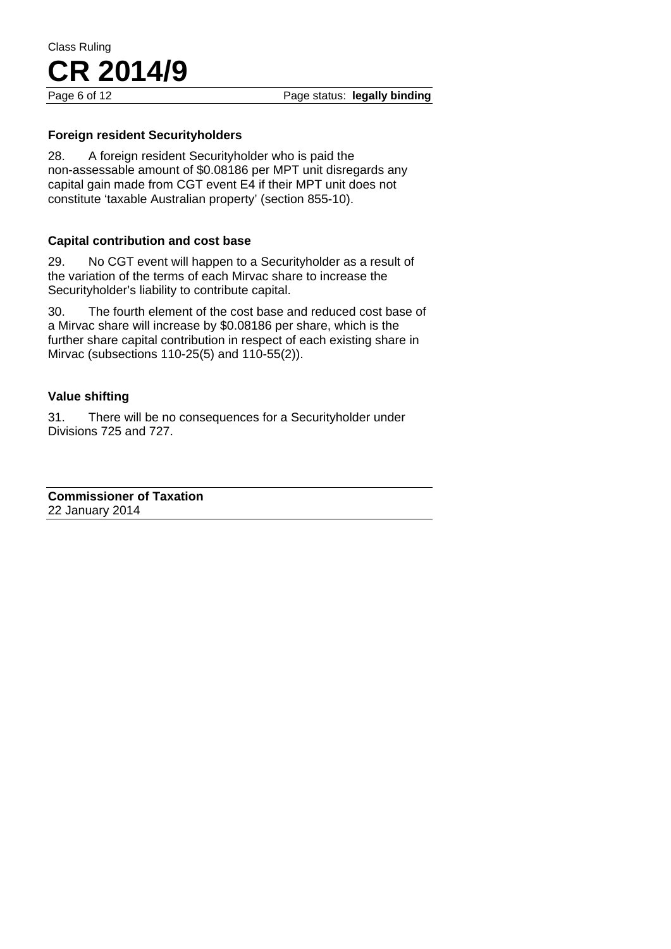#### Page 6 of 12 **Page status: legally binding**

## **Foreign resident Securityholders**

**CR 2014/9**

28. A foreign resident Securityholder who is paid the non-assessable amount of \$0.08186 per MPT unit disregards any capital gain made from CGT event E4 if their MPT unit does not constitute 'taxable Australian property' (section 855-10).

### **Capital contribution and cost base**

29. No CGT event will happen to a Securityholder as a result of the variation of the terms of each Mirvac share to increase the Securityholder's liability to contribute capital.

30. The fourth element of the cost base and reduced cost base of a Mirvac share will increase by \$0.08186 per share, which is the further share capital contribution in respect of each existing share in Mirvac (subsections 110-25(5) and 110-55(2)).

#### **Value shifting**

31. There will be no consequences for a Securityholder under Divisions 725 and 727.

**Commissioner of Taxation**  22 January 2014

Class Ruling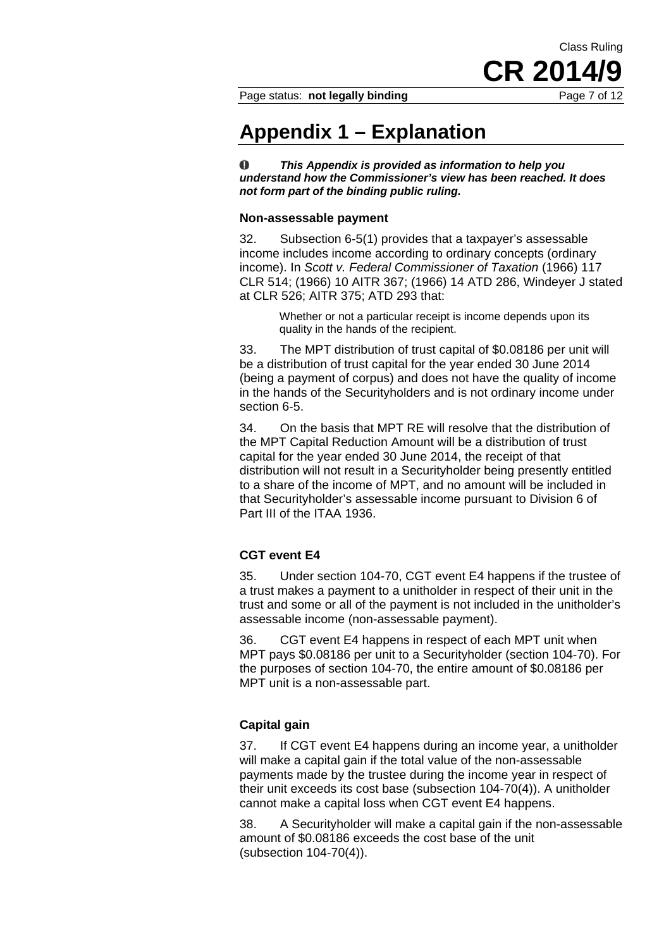Class Ruling **CR 2014** 

Page status: **not legally binding** Page 7 of 12

## **Appendix 1 – Explanation**

 $\bullet$ *This Appendix is provided as information to help you understand how the Commissioner's view has been reached. It does not form part of the binding public ruling.* 

#### **Non-assessable payment**

32. Subsection 6-5(1) provides that a taxpayer's assessable income includes income according to ordinary concepts (ordinary income). In *Scott v. Federal Commissioner of Taxation* (1966) 117 CLR 514; (1966) 10 AITR 367; (1966) 14 ATD 286, Windeyer J stated at CLR 526; AITR 375; ATD 293 that:

> Whether or not a particular receipt is income depends upon its quality in the hands of the recipient.

33. The MPT distribution of trust capital of \$0.08186 per unit will be a distribution of trust capital for the year ended 30 June 2014 (being a payment of corpus) and does not have the quality of income in the hands of the Securityholders and is not ordinary income under section 6-5.

34. On the basis that MPT RE will resolve that the distribution of the MPT Capital Reduction Amount will be a distribution of trust capital for the year ended 30 June 2014, the receipt of that distribution will not result in a Securityholder being presently entitled to a share of the income of MPT, and no amount will be included in that Securityholder's assessable income pursuant to Division 6 of Part III of the ITAA 1936.

#### **CGT event E4**

35. Under section 104-70, CGT event E4 happens if the trustee of a trust makes a payment to a unitholder in respect of their unit in the trust and some or all of the payment is not included in the unitholder's assessable income (non-assessable payment).

36. CGT event E4 happens in respect of each MPT unit when MPT pays \$0.08186 per unit to a Securityholder (section 104-70). For the purposes of section 104-70, the entire amount of \$0.08186 per MPT unit is a non-assessable part.

#### **Capital gain**

37. If CGT event E4 happens during an income year, a unitholder will make a capital gain if the total value of the non-assessable payments made by the trustee during the income year in respect of their unit exceeds its cost base (subsection 104-70(4)). A unitholder cannot make a capital loss when CGT event E4 happens.

38. A Securityholder will make a capital gain if the non-assessable amount of \$0.08186 exceeds the cost base of the unit (subsection 104-70(4)).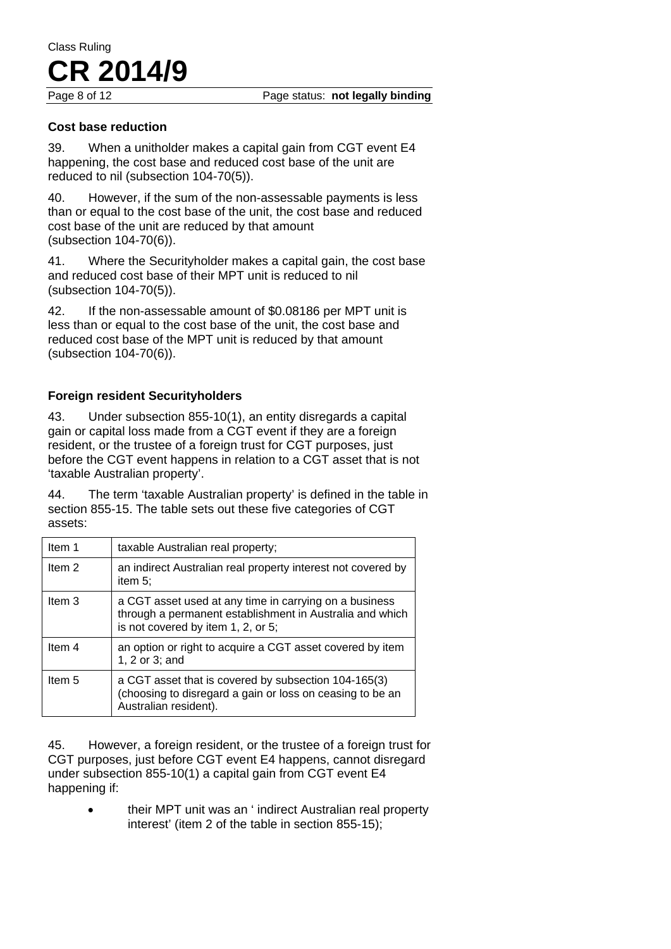Page 8 of 12 Page status: **not legally binding** 

#### **Cost base reduction**

39. When a unitholder makes a capital gain from CGT event E4 happening, the cost base and reduced cost base of the unit are reduced to nil (subsection 104-70(5)).

40. However, if the sum of the non-assessable payments is less than or equal to the cost base of the unit, the cost base and reduced cost base of the unit are reduced by that amount (subsection 104-70(6)).

41. Where the Securityholder makes a capital gain, the cost base and reduced cost base of their MPT unit is reduced to nil (subsection 104-70(5)).

42. If the non-assessable amount of \$0.08186 per MPT unit is less than or equal to the cost base of the unit, the cost base and reduced cost base of the MPT unit is reduced by that amount (subsection 104-70(6)).

### **Foreign resident Securityholders**

43. Under subsection 855-10(1), an entity disregards a capital gain or capital loss made from a CGT event if they are a foreign resident, or the trustee of a foreign trust for CGT purposes, just before the CGT event happens in relation to a CGT asset that is not 'taxable Australian property'.

44. The term 'taxable Australian property' is defined in the table in section 855-15. The table sets out these five categories of CGT assets:

| Item 1            | taxable Australian real property;                                                                                                                        |
|-------------------|----------------------------------------------------------------------------------------------------------------------------------------------------------|
| Item <sub>2</sub> | an indirect Australian real property interest not covered by<br>item $5$ ;                                                                               |
| Item 3            | a CGT asset used at any time in carrying on a business<br>through a permanent establishment in Australia and which<br>is not covered by item 1, 2, or 5; |
| Item <sub>4</sub> | an option or right to acquire a CGT asset covered by item<br>1, 2 or 3; and                                                                              |
| Item 5            | a CGT asset that is covered by subsection 104-165(3)<br>(choosing to disregard a gain or loss on ceasing to be an<br>Australian resident).               |

45. However, a foreign resident, or the trustee of a foreign trust for CGT purposes, just before CGT event E4 happens, cannot disregard under subsection 855-10(1) a capital gain from CGT event E4 happening if:

> • their MPT unit was an ' indirect Australian real property interest' (item 2 of the table in section 855-15);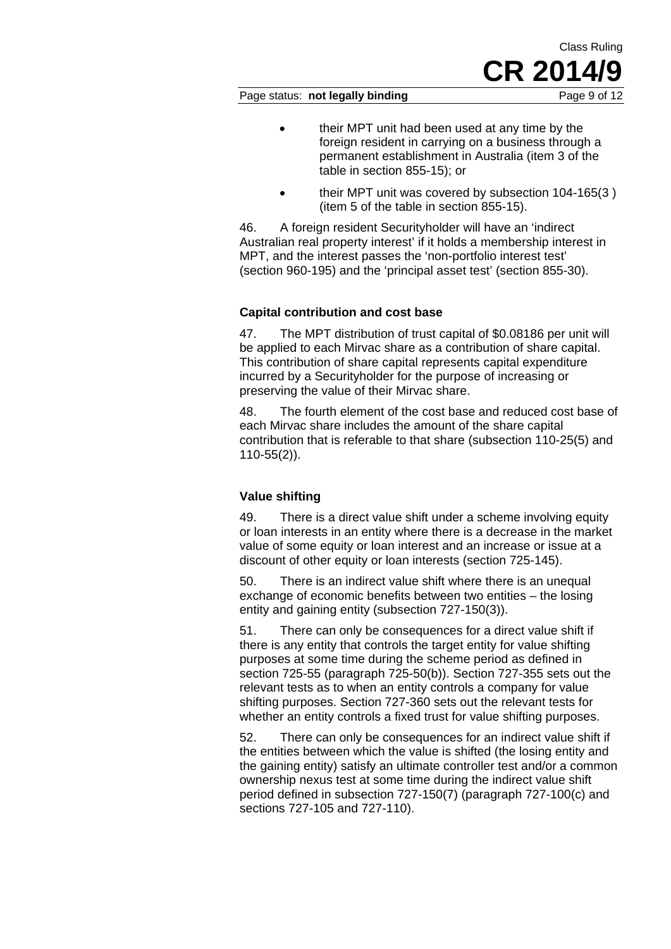Page status: **not legally binding** Page 9 of 12

Class Ruling

**CR 2014** 

- their MPT unit had been used at any time by the foreign resident in carrying on a business through a permanent establishment in Australia (item 3 of the table in section 855-15); or
- their MPT unit was covered by subsection 104-165(3 ) (item 5 of the table in section 855-15).

46. A foreign resident Securityholder will have an 'indirect Australian real property interest' if it holds a membership interest in MPT, and the interest passes the 'non-portfolio interest test' (section 960-195) and the 'principal asset test' (section 855-30).

## **Capital contribution and cost base**

47. The MPT distribution of trust capital of \$0.08186 per unit will be applied to each Mirvac share as a contribution of share capital. This contribution of share capital represents capital expenditure incurred by a Securityholder for the purpose of increasing or preserving the value of their Mirvac share.

48. The fourth element of the cost base and reduced cost base of each Mirvac share includes the amount of the share capital contribution that is referable to that share (subsection 110-25(5) and 110-55(2)).

## **Value shifting**

49. There is a direct value shift under a scheme involving equity or loan interests in an entity where there is a decrease in the market value of some equity or loan interest and an increase or issue at a discount of other equity or loan interests (section 725-145).

50. There is an indirect value shift where there is an unequal exchange of economic benefits between two entities – the losing entity and gaining entity (subsection 727-150(3)).

51. There can only be consequences for a direct value shift if there is any entity that controls the target entity for value shifting purposes at some time during the scheme period as defined in section 725-55 (paragraph 725-50(b)). Section 727-355 sets out the relevant tests as to when an entity controls a company for value shifting purposes. Section 727-360 sets out the relevant tests for whether an entity controls a fixed trust for value shifting purposes.

52. There can only be consequences for an indirect value shift if the entities between which the value is shifted (the losing entity and the gaining entity) satisfy an ultimate controller test and/or a common ownership nexus test at some time during the indirect value shift period defined in subsection 727-150(7) (paragraph 727-100(c) and sections 727-105 and 727-110).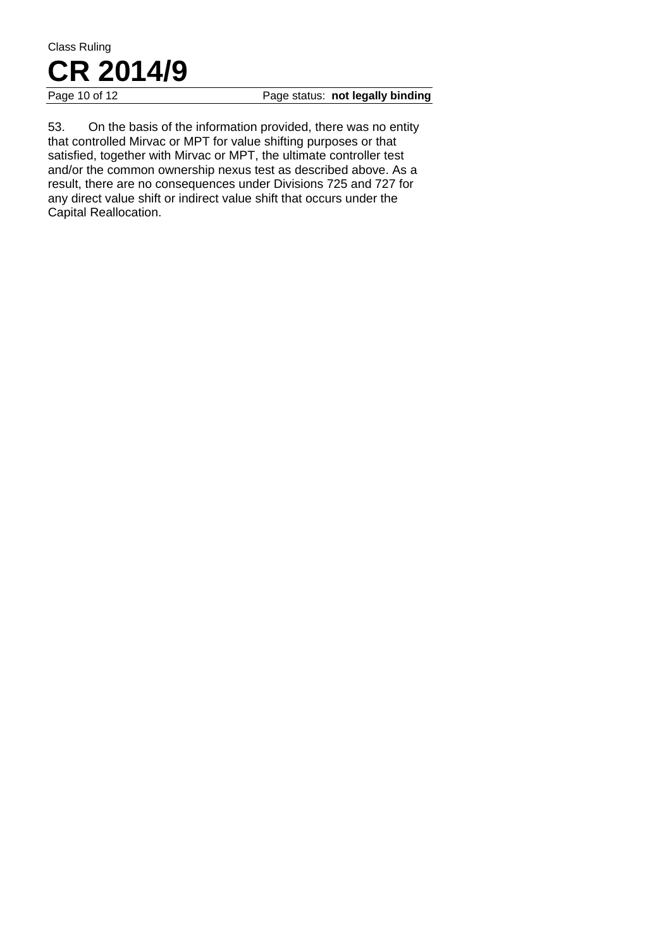#### Page 10 of 12 **Page status: not legally binding**

53. On the basis of the information provided, there was no entity that controlled Mirvac or MPT for value shifting purposes or that satisfied, together with Mirvac or MPT, the ultimate controller test and/or the common ownership nexus test as described above. As a result, there are no consequences under Divisions 725 and 727 for any direct value shift or indirect value shift that occurs under the Capital Reallocation.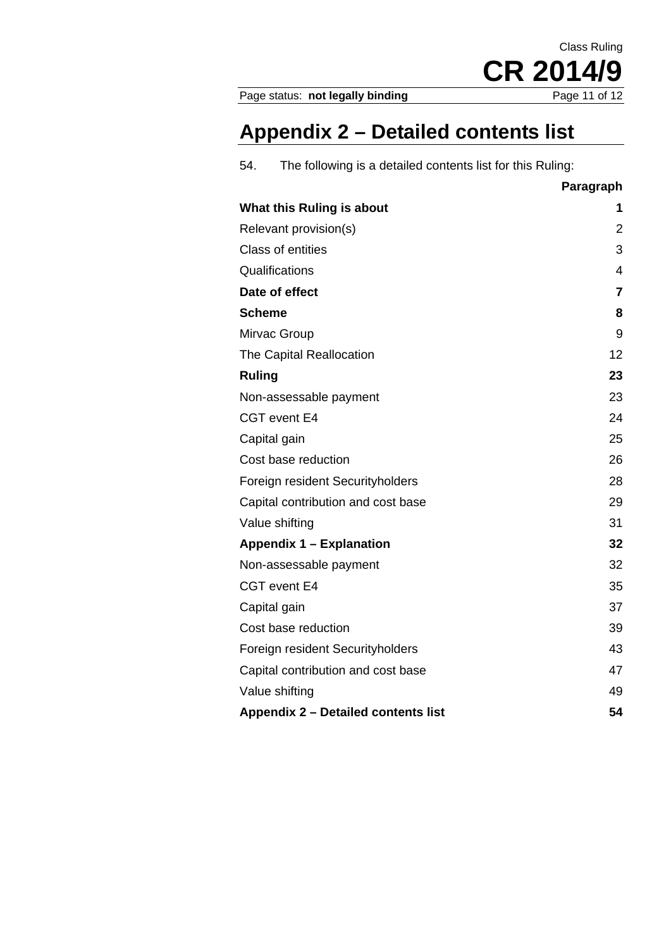Page status: not legally binding

# **Appendix 2 – Detailed contents list**

| 54. | The following is a detailed contents list for this Ruling: |
|-----|------------------------------------------------------------|
|     |                                                            |

|                                     | Paragraph      |
|-------------------------------------|----------------|
| What this Ruling is about           | 1              |
| Relevant provision(s)               | 2              |
| Class of entities                   | 3              |
| Qualifications                      | $\overline{4}$ |
| Date of effect                      | $\overline{7}$ |
| <b>Scheme</b>                       | 8              |
| Mirvac Group                        | 9              |
| The Capital Reallocation            | 12             |
| <b>Ruling</b>                       | 23             |
| Non-assessable payment              | 23             |
| CGT event E4                        | 24             |
| Capital gain                        | 25             |
| Cost base reduction                 | 26             |
| Foreign resident Securityholders    | 28             |
| Capital contribution and cost base  | 29             |
| Value shifting                      | 31             |
| <b>Appendix 1 – Explanation</b>     | 32             |
| Non-assessable payment              | 32             |
| CGT event E4                        | 35             |
| Capital gain                        | 37             |
| Cost base reduction                 | 39             |
| Foreign resident Securityholders    | 43             |
| Capital contribution and cost base  | 47             |
| Value shifting                      | 49             |
| Appendix 2 - Detailed contents list | 54             |